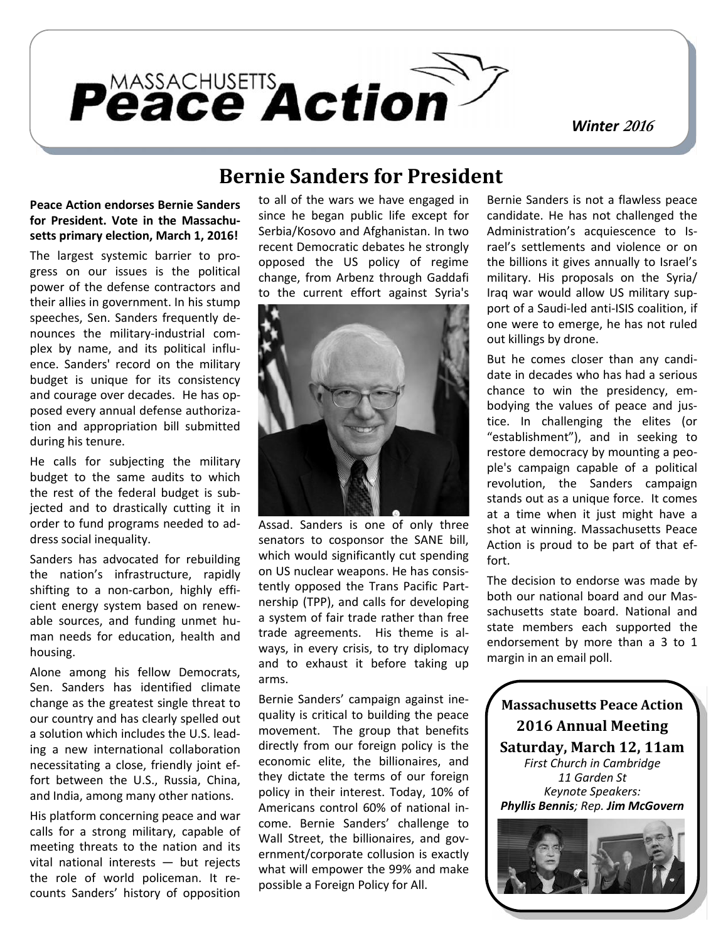

*Winter <sup>2016</sup>*

#### **Peace Action endorses Bernie Sanders for President. Vote in the Massachusetts primary election, March 1, 2016!**

The largest systemic barrier to progress on our issues is the political power of the defense contractors and their allies in government. In his stump speeches, Sen. Sanders frequently denounces the military-industrial complex by name, and its political influence. Sanders' record on the military budget is unique for its consistency and courage over decades. He has opposed every annual defense authorization and appropriation bill submitted during his tenure.

He calls for subjecting the military budget to the same audits to which the rest of the federal budget is subjected and to drastically cutting it in order to fund programs needed to address social inequality.

Sanders has advocated for rebuilding the nation's infrastructure, rapidly shifting to a non-carbon, highly efficient energy system based on renewable sources, and funding unmet human needs for education, health and housing.

Alone among his fellow Democrats, Sen. Sanders has identified climate change as the greatest single threat to our country and has clearly spelled out a solution which includes the U.S. leading a new international collaboration necessitating a close, friendly joint effort between the U.S., Russia, China, and India, among many other nations.

His platform concerning peace and war calls for a strong military, capable of meeting threats to the nation and its vital national interests — but rejects the role of world policeman. It recounts Sanders' history of opposition

# **Bernie Sanders for President**

to all of the wars we have engaged in since he began public life except for Serbia/Kosovo and Afghanistan. In two recent Democratic debates he strongly opposed the US policy of regime change, from Arbenz through Gaddafi to the current effort against Syria's



Assad. Sanders is one of only three senators to cosponsor the SANE bill, which would significantly cut spending on US nuclear weapons. He has consistently opposed the Trans Pacific Partnership (TPP), and calls for developing a system of fair trade rather than free trade agreements. His theme is always, in every crisis, to try diplomacy and to exhaust it before taking up arms.

Bernie Sanders' campaign against inequality is critical to building the peace movement. The group that benefits directly from our foreign policy is the economic elite, the billionaires, and they dictate the terms of our foreign policy in their interest. Today, 10% of Americans control 60% of national income. Bernie Sanders' challenge to Wall Street, the billionaires, and government/corporate collusion is exactly what will empower the 99% and make possible a Foreign Policy for All.

Bernie Sanders is not a flawless peace candidate. He has not challenged the Administration's acquiescence to Israel's settlements and violence or on the billions it gives annually to Israel's military. His proposals on the Syria/ Iraq war would allow US military support of a Saudi-led anti-ISIS coalition, if one were to emerge, he has not ruled out killings by drone.

But he comes closer than any candidate in decades who has had a serious chance to win the presidency, embodying the values of peace and justice. In challenging the elites (or "establishment"), and in seeking to restore democracy by mounting a people's campaign capable of a political revolution, the Sanders campaign stands out as a unique force. It comes at a time when it just might have a shot at winning. Massachusetts Peace Action is proud to be part of that effort.

The decision to endorse was made by both our national board and our Massachusetts state board. National and state members each supported the endorsement by more than a 3 to 1 margin in an email poll.

**Massachusetts Peace Action 2016 Annual Meeting Saturday, March 12, 11am** *First Church in Cambridge 11 Garden St Keynote Speakers: Phyllis Bennis; Rep. Jim McGovern*

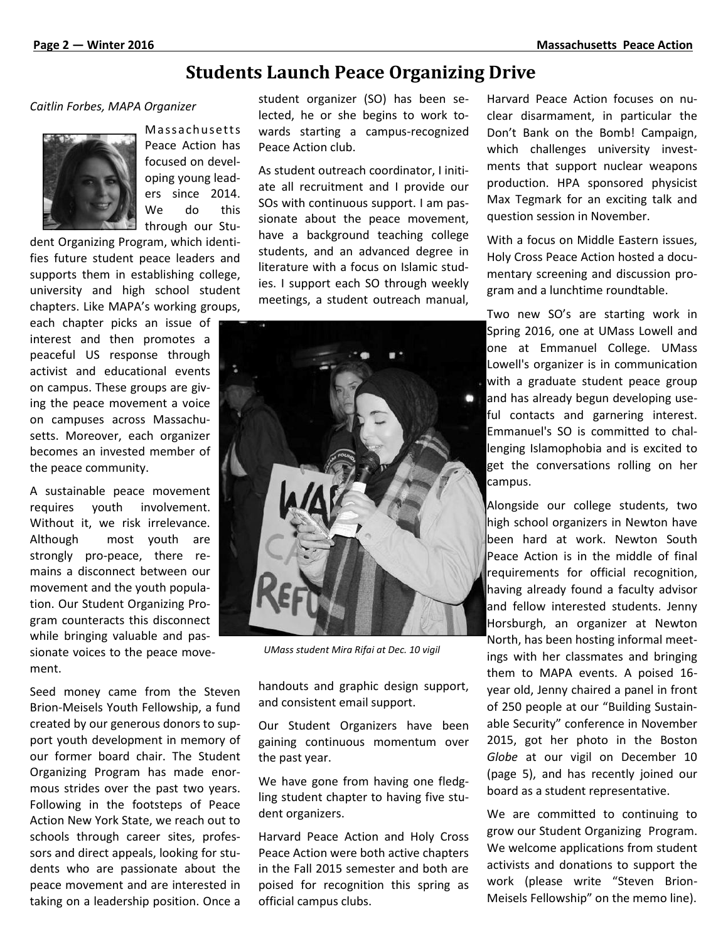# **Students Launch Peace Organizing Drive**

#### *Caitlin Forbes, MAPA Organizer*



Students L<br>
Organizer students<br>
Massachusetts war<br>
Peace Action has Pea Peace Action has focused on developing young leaders since 2014. We do this through our Stu-

dent Organizing Program, which identifies future student peace leaders and supports them in establishing college, university and high school student chapters. Like MAPA's working groups,

each chapter picks an issue of interest and then promotes a peaceful US response through activist and educational events on campus. These groups are giving the peace movement a voice on campuses across Massachusetts. Moreover, each organizer becomes an invested member of the peace community.

A sustainable peace movement requires youth involvement. Without it, we risk irrelevance. Although most youth are strongly pro-peace, there remains a disconnect between our movement and the youth population. Our Student Organizing Program counteracts this disconnect while bringing valuable and passionate voices to the peace movement.

Seed money came from the Steven Brion-Meisels Youth Fellowship, a fund created by our generous donors to support youth development in memory of our former board chair. The Student Organizing Program has made enormous strides over the past two years. Following in the footsteps of Peace Action New York State, we reach out to schools through career sites, professors and direct appeals, looking for students who are passionate about the peace movement and are interested in taking on a leadership position. Once a student organizer (SO) has been selected, he or she begins to work towards starting a campus-recognized Peace Action club.

As student outreach coordinator, I initiate all recruitment and I provide our SOs with continuous support. I am passionate about the peace movement, have a background teaching college students, and an advanced degree in literature with a focus on Islamic studies. I support each SO through weekly meetings, a student outreach manual,



*UMass student Mira Rifai at Dec. 10 vigil*

handouts and graphic design support, and consistent email support.

Our Student Organizers have been gaining continuous momentum over the past year.

We have gone from having one fledgling student chapter to having five student organizers.

Harvard Peace Action and Holy Cross Peace Action were both active chapters in the Fall 2015 semester and both are poised for recognition this spring as official campus clubs.

Harvard Peace Action focuses on nuclear disarmament, in particular the Don't Bank on the Bomb! Campaign, which challenges university investments that support nuclear weapons production. HPA sponsored physicist Max Tegmark for an exciting talk and question session in November.

With a focus on Middle Eastern issues, Holy Cross Peace Action hosted a documentary screening and discussion program and a lunchtime roundtable.

Two new SO's are starting work in Spring 2016, one at UMass Lowell and one at Emmanuel College. UMass Lowell's organizer is in communication with a graduate student peace group and has already begun developing useful contacts and garnering interest. Emmanuel's SO is committed to challenging Islamophobia and is excited to get the conversations rolling on her campus.

Alongside our college students, two high school organizers in Newton have been hard at work. Newton South Peace Action is in the middle of final requirements for official recognition, having already found a faculty advisor and fellow interested students. Jenny Horsburgh, an organizer at Newton North, has been hosting informal meetings with her classmates and bringing them to MAPA events. A poised 16 year old, Jenny chaired a panel in front of 250 people at our "Building Sustainable Security" conference in November 2015, got her photo in the Boston *Globe* at our vigil on December 10 (page 5), and has recently joined our board as a student representative.

We are committed to continuing to grow our Student Organizing Program. We welcome applications from student activists and donations to support the work (please write "Steven Brion- Meisels Fellowship" on the memo line).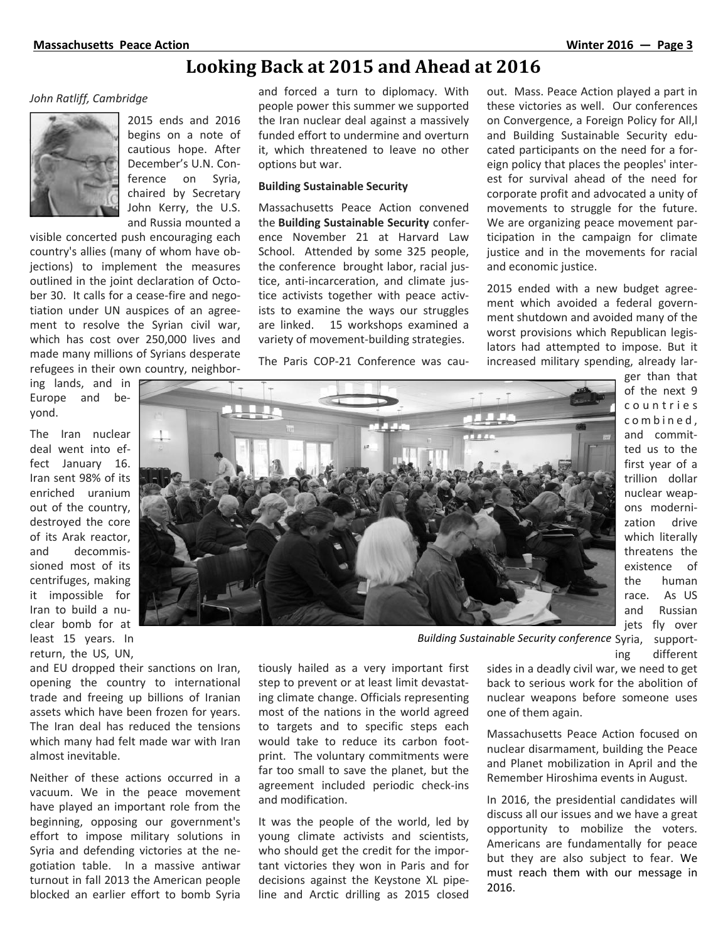# **Looking Back at 2015 and Ahead at 2016**

#### *John Ratliff, Cambridge*



2015 ends and 2016 begins on a note of cautious hope. After December's U.N. Conference on Syria, chaired by Secretary John Kerry, the U.S. and Russia mounted a

visible concerted push encouraging each country's allies (many of whom have objections) to implement the measures outlined in the joint declaration of October 30. It calls for a cease-fire and negotiation under UN auspices of an agreement to resolve the Syrian civil war, which has cost over 250,000 lives and made many millions of Syrians desperate refugees in their own country, neighbor-

ing lands, and in Europe and beyond.

The Iran nuclear deal went into effect January 16. Iran sent 98% of its enriched uranium out of the country, destroyed the core of its Arak reactor, and decommissioned most of its centrifuges, making it impossible for Iran to build a nuclear bomb for at least 15 years. In return, the US, UN,

and EU dropped their sanctions on Iran, opening the country to international trade and freeing up billions of Iranian assets which have been frozen for years. The Iran deal has reduced the tensions which many had felt made war with Iran almost inevitable.

Neither of these actions occurred in a vacuum. We in the peace movement have played an important role from the beginning, opposing our government's effort to impose military solutions in Syria and defending victories at the negotiation table. In a massive antiwar turnout in fall 2013 the American people blocked an earlier effort to bomb Syria

and forced a turn to diplomacy. With people power this summer we supported the Iran nuclear deal against a massively funded effort to undermine and overturn it, which threatened to leave no other options but war.

#### **Building Sustainable Security**

Massachusetts Peace Action convened the **Building Sustainable Security** conference November 21 at Harvard Law School. Attended by some 325 people, the conference brought labor, racial justice, anti-incarceration, and climate justice activists together with peace activists to examine the ways our struggles are linked. 15 workshops examined a variety of movement-building strategies.

The Paris COP-21 Conference was cau-

out. Mass. Peace Action played a part in these victories as well. Our conferences on Convergence, a Foreign Policy for All,l and Building Sustainable Security educated participants on the need for a foreign policy that places the peoples' interest for survival ahead of the need for corporate profit and advocated a unity of movements to struggle for the future. We are organizing peace movement participation in the campaign for climate justice and in the movements for racial and economic justice.

2015 ended with a new budget agreement which avoided a federal government shutdown and avoided many of the worst provisions which Republican legislators had attempted to impose. But it increased military spending, already lar-



ger than that of the next 9 publican legis-<br>mpose. But it<br>g, already lar-<br>ger than that<br>of the next 9<br>c o u n t r i e s<br>c o m b i n e d ,<br>c m b i n e m i h mpose. But it<br>g, already larger than that<br>of the next 9<br>c o u n t r i e s<br>c o m b i n e d ,<br>and commitand committed us to the first year of a trillion dollar nuclear weapons modernization drive which literally threatens the existence of the human race. As US and Russian jets fly over

Building Sustainable Security conference Syria, supporting different

sides in a deadly civil war, we need to get back to serious work for the abolition of nuclear weapons before someone uses one of them again.

Massachusetts Peace Action focused on nuclear disarmament, building the Peace and Planet mobilization in April and the Remember Hiroshima events in August.

In 2016, the presidential candidates will discuss all our issues and we have a great opportunity to mobilize the voters. Americans are fundamentally for peace but they are also subject to fear. We must reach them with our message in 2016.

tiously hailed as a very important first step to prevent or at least limit devastating climate change. Officials representing most of the nations in the world agreed to targets and to specific steps each would take to reduce its carbon footprint. The voluntary commitments were far too small to save the planet, but the agreement included periodic check-ins and modification.

It was the people of the world, led by young climate activists and scientists, who should get the credit for the important victories they won in Paris and for decisions against the Keystone XL pipeline and Arctic drilling as 2015 closed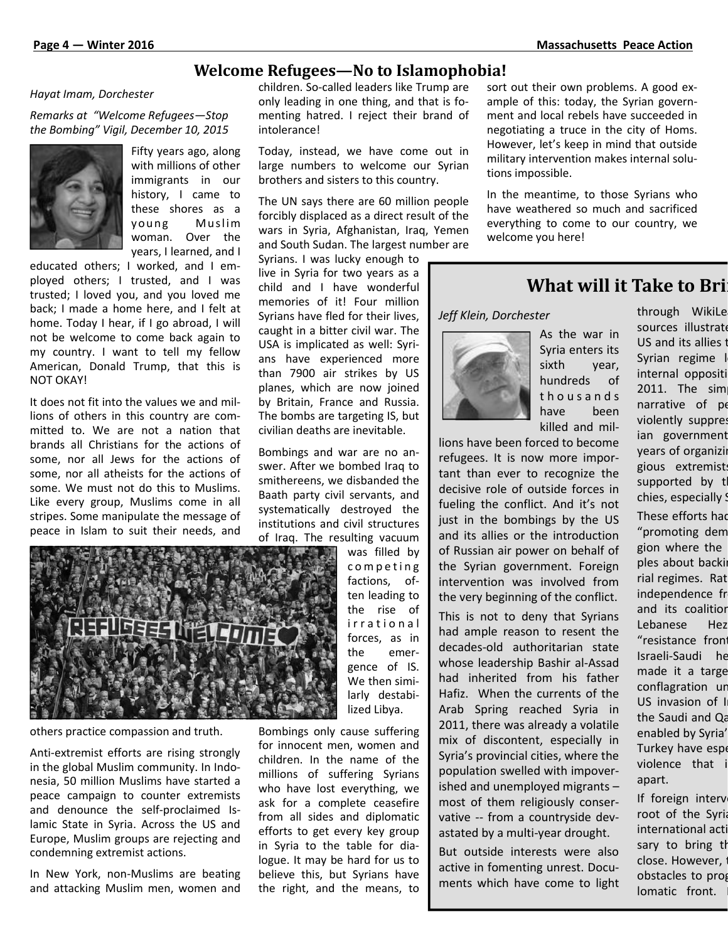#### **Welcome Refugees—No to Islamophobia!**

#### *Hayat Imam, Dorchester*

*Remarks at "Welcome Refugees—Stop the Bombing" Vigil, December 10, 2015*



Fifty years ago, along with millions of other immigrants in our history, I came to these shores as a Fifty years ago, along Today, ins<br>with millions of other large num<br>immigrants in our brothers are<br>history, I came to<br>these shores as a The UN say<br>young Muslim forcibly dis<br>woman. Over the and South ! woman. Over the years, I learned, and I

educated others; I worked, and I employed others; I trusted, and I was trusted; I loved you, and you loved me back; I made a home here, and I felt at home. Today I hear, if I go abroad, I will not be welcome to come back again to my country. I want to tell my fellow American, Donald Trump, that this is NOT OKAY!

It does not fit into the values we and millions of others in this country are committed to. We are not a nation that brands all Christians for the actions of some, nor all Jews for the actions of some, nor all atheists for the actions of some. We must not do this to Muslims. Like every group, Muslims come in all stripes. Some manipulate the message of peace in Islam to suit their needs, and



others practice compassion and truth.

Anti-extremist efforts are rising strongly in the global Muslim community. In Indonesia, 50 million Muslims have started a peace campaign to counter extremists and denounce the self-proclaimed Islamic State in Syria. Across the US and Europe, Muslim groups are rejecting and condemning extremist actions.

In New York, non-Muslims are beating and attacking Muslim men, women and children. So-called leaders like Trump are only leading in one thing, and that is fomenting hatred. I reject their brand of intolerance!

Today, instead, we have come out in large numbers to welcome our Syrian brothers and sisters to this country.

The UN says there are 60 million people forcibly displaced as a direct result of the wars in Syria, Afghanistan, Iraq, Yemen and South Sudan. The largest number are

Syrians. I was lucky enough to live in Syria for two years as a child and I have wonderful memories of it! Four million Syrians have fled for their lives, caught in a bitter civil war. The USA is implicated as well: Syrians have experienced more than 7900 air strikes by US planes, which are now joined by Britain, France and Russia. The bombs are targeting IS, but civilian deaths are inevitable.

Bombings and war are no answer. After we bombed Iraq to smithereens, we disbanded the Baath party civil servants, and systematically destroyed the institutions and civil structures of Iraq. The resulting vacuum

was filled by factions, often leading to the rise of was filled by<br>
competing<br>
factions, of-<br>
ten leading to<br>
the rise of<br>
irrational<br>
forces, as in<br>
the senses decades-old and<br>
the senses forces, as in the emergence of IS. We then similarly destabilized Libya.

Bombings only cause suffering for innocent men, women and children. In the name of the millions of suffering Syrians who have lost everything, we ask for a complete ceasefire from all sides and diplomatic efforts to get every key group in Syria to the table for dialogue. It may be hard for us to believe this, but Syrians have the right, and the means, to sort out their own problems. A good example of this: today, the Syrian government and local rebels have succeeded in negotiating a truce in the city of Homs. However, let's keep in mind that outside military intervention makes internal solutions impossible.

In the meantime, to those Syrians who have weathered so much and sacrificed everything to come to our country, we welcome you here!

### **What will it Take to Bri**

*Jeff Klein, Dorchester*



As the war in Syria enters its sixth year, hundreds of have been killed and mil-

servants, and<br>estroyed the<br>ivil structures<br>ilting vacuum<br>was filled by<br>competing<br>factions, of-<br>the localization of the Syrian go lions have been forced to become refugees. It is now more important than ever to recognize the decisive role of outside forces in fueling the conflict. And it's not just in the bombings by the US and its allies or the introduction of Russian air power on behalf of the Syrian government. Foreign intervention was involved from the very beginning of the conflict.

> This is not to deny that Syrians had ample reason to resent the decades-old authoritarian state whose leadership Bashir al-Assad had inherited from his father Hafiz. When the currents of the Arab Spring reached Syria in 2011, there was already a volatile mix of discontent, especially in Syria's provincial cities, where the population swelled with impoverished and unemployed migrants – most of them religiously conservative -- from a countryside devastated by a multi-year drought.

> But outside interests were also active in fomenting unrest. Documents which have come to light

ET Syria enters its<br>
Syria enters its<br>
sixth year,<br>
hundreds of internal opposit<br>
thous a n d s<br>
live and s<br>
this internal opposit<br>
thous a n d s<br>
live the seen internal opposit<br>
thous a n d s<br>
live the seen internal oppos through WikiLe sources illustrate US and its allies to Syrian regime l internal oppositi  $2011.$  The sim narrative of pe violently suppres ian government years of organizi gious extremist supported by t chies, especially ! These efforts had "promoting dem gion where the ples about backi rial regimes. Rat independence fr and its coalition Lebanese Hez "resistance front Israeli-Saudi he made it a targe conflagration ur US invasion of I the Saudi and Qa enabled by Syria' Turkey have espe violence that i apart.

If foreign interv root of the Syria international acti sary to bring th close. However, obstacles to prog lomatic front.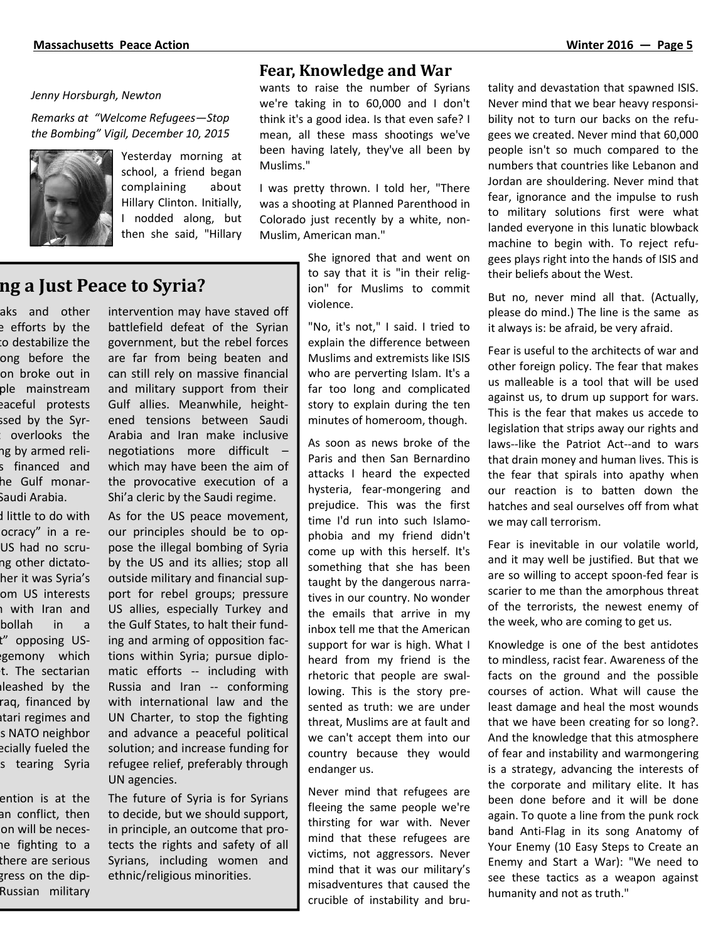#### *Jenny Horsburgh, Newton*

*Remarks at "Welcome Refugees—Stop the Bombing" Vigil, December 10, 2015*



Yesterday morning at school, a friend began complaining about Hillary Clinton. Initially, I nodded along, but then she said, "Hillary

#### **Fear, Knowledge and War**

wants to raise the number of Syrians we're taking in to 60,000 and I don't think it's a good idea. Is that even safe? I mean, all these mass shootings we've been having lately, they've all been by Muslims."

I was pretty thrown. I told her, "There was a shooting at Planned Parenthood in Colorado just recently by a white, non- Muslim, American man."

> She ignored that and went on to say that it is "in their religion" for Muslims to commit violence.

"No, it's not," I said. I tried to explain the difference between Muslims and extremists like ISIS who are perverting Islam. It's a far too long and complicated story to explain during the ten minutes of homeroom, though.

As soon as news broke of the Paris and then San Bernardino attacks I heard the expected hysteria, fear-mongering and prejudice. This was the first time I'd run into such Islamophobia and my friend didn't come up with this herself. It's something that she has been taught by the dangerous narratives in our country. No wonder the emails that arrive in my inbox tell me that the American support for war is high. What I heard from my friend is the rhetoric that people are swallowing. This is the story presented as truth: we are under threat, Muslims are at fault and we can't accept them into our country because they would endanger us.

Never mind that refugees are fleeing the same people we're thirsting for war with. Never mind that these refugees are victims, not aggressors. Never mind that it was our military's misadventures that caused the crucible of instability and brutality and devastation that spawned ISIS. Never mind that we bear heavy responsibility not to turn our backs on the refugees we created. Never mind that 60,000 people isn't so much compared to the numbers that countries like Lebanon and Jordan are shouldering. Never mind that fear, ignorance and the impulse to rush to military solutions first were what landed everyone in this lunatic blowback machine to begin with. To reject refugees plays right into the hands of ISIS and their beliefs about the West.

But no, never mind all that. (Actually, please do mind.) The line is the same as it always is: be afraid, be very afraid.

Fear is useful to the architects of war and other foreign policy. The fear that makes us malleable is a tool that will be used against us, to drum up support for wars. This is the fear that makes us accede to legislation that strips away our rights and laws--like the Patriot Act--and to wars that drain money and human lives. This is the fear that spirals into apathy when our reaction is to batten down the hatches and seal ourselves off from what we may call terrorism.

Fear is inevitable in our volatile world, and it may well be justified. But that we are so willing to accept spoon-fed fear is scarier to me than the amorphous threat of the terrorists, the newest enemy of the week, who are coming to get us.

Knowledge is one of the best antidotes to mindless, racist fear. Awareness of the facts on the ground and the possible courses of action. What will cause the least damage and heal the most wounds that we have been creating for so long?. And the knowledge that this atmosphere of fear and instability and warmongering is a strategy, advancing the interests of the corporate and military elite. It has been done before and it will be done again. To quote a line from the punk rock band Anti-Flag in its song Anatomy of Your Enemy (10 Easy Steps to Create an Enemy and Start a War): "We need to see these tactics as a weapon against humanity and not as truth."

### **What will it Take to Bring a Just Peace to Syria?**

aks and other e efforts by the to destabilize the ong before the on broke out in ple mainstream eaceful protests ssed by the Syr- $\colon$  overlooks the ng by armed relis financed and he Gulf monar-Saudi Arabia.

I little to do with ocracy" in a re-US had no scrung other dictatoher it was Syria's om US interests n with Iran and bollah in a t" opposing USgemony which! t. The sectarian leashed by the raq, financed by tari regimes and s NATO neighbor ecially fueled the s tearing Syria

ention is at the an conflict, then ion will be necesne fighting to a there are serious gress on the dip-Russian military

intervention may have staved off battlefield defeat of the Syrian government, but the rebel forces are far from being beaten and can still rely on massive financial and military support from their Gulf allies. Meanwhile, heightened tensions between Saudi Arabia and Iran make inclusive negotiations more difficult – which may have been the aim of the provocative execution of a Shi'a cleric by the Saudi regime.

As for the US peace movement, our principles should be to oppose the illegal bombing of Syria by the US and its allies; stop all outside military and financial support for rebel groups; pressure US allies, especially Turkey and the Gulf States, to halt their funding and arming of opposition factions within Syria; pursue diplomatic efforts -- including with Russia and Iran -- conforming with international law and the UN Charter, to stop the fighting and advance a peaceful political solution; and increase funding for refugee relief, preferably through UN agencies.

The future of Syria is for Syrians to decide, but we should support, in principle, an outcome that protects the rights and safety of all Syrians, including women and ethnic/religious minorities.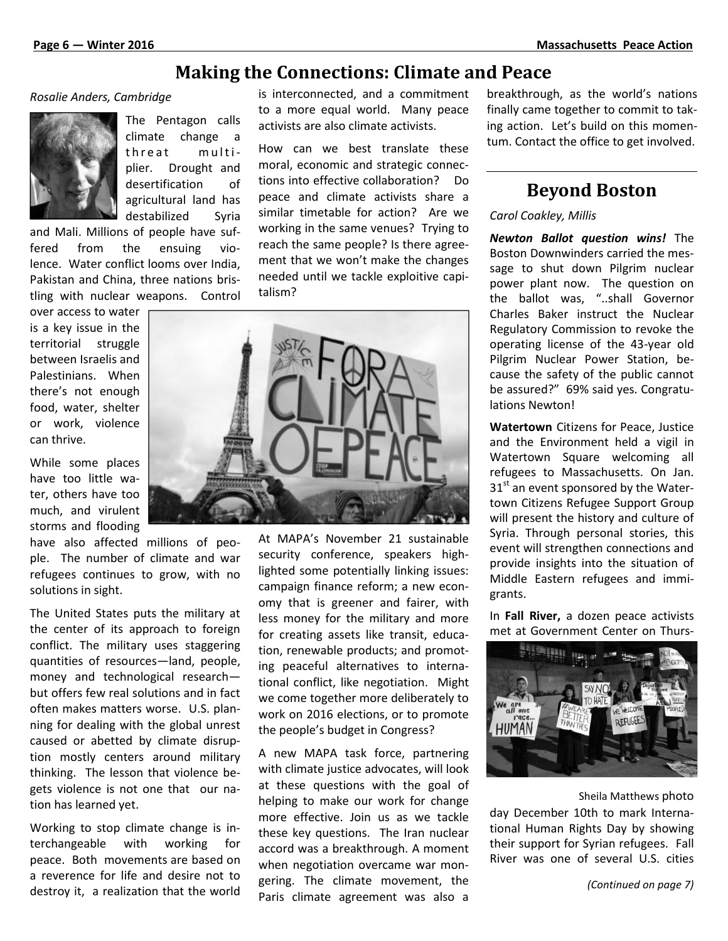## **Making the Connections: Climate and Peace**

#### *Rosalie Anders, Cambridge*



The Pentagon calls climate change a **MANITE LIFE COTTLECT**<br>
Impridge is interconnecte<br>
The Pentagon calls<br>
climate change a<br>
threat multi- How can we<br>
plier. Drought and moral, economic plier. Drought and desertification of agricultural land has destabilized Syria

and Mali. Millions of people have suffered from the ensuing violence. Water conflict looms over India, Pakistan and China, three nations bristling with nuclear weapons. Control

over access to water is a key issue in the territorial struggle between Israelis and Palestinians. When there's not enough food, water, shelter or work, violence can thrive.

While some places have too little water, others have too much, and virulent storms and flooding

have also affected millions of people. The number of climate and war refugees continues to grow, with no solutions in sight.

The United States puts the military at the center of its approach to foreign conflict. The military uses staggering quantities of resources—land, people, money and technological research but offers few real solutions and in fact often makes matters worse. U.S. planning for dealing with the global unrest caused or abetted by climate disruption mostly centers around military thinking. The lesson that violence begets violence is not one that our nation has learned yet.

Working to stop climate change is interchangeable with working for peace. Both movements are based on a reverence for life and desire not to destroy it, a realization that the world is interconnected, and a commitment to a more equal world. Many peace activists are also climate activists.

How can we best translate these moral, economic and strategic connections into effective collaboration? Do peace and climate activists share a similar timetable for action? Are we working in the same venues? Trying to reach the same people? Is there agreement that we won't make the changes needed until we tackle exploitive capitalism?



At MAPA's November 21 sustainable security conference, speakers highlighted some potentially linking issues: campaign finance reform; a new economy that is greener and fairer, with less money for the military and more for creating assets like transit, education, renewable products; and promoting peaceful alternatives to international conflict, like negotiation. Might we come together more deliberately to work on 2016 elections, or to promote<br>the people's budget in Congress? the people's budget in Congress?

A new MAPA task force, partnering with climate justice advocates, will look at these questions with the goal of helping to make our work for change more effective. Join us as we tackle these key questions. The Iran nuclear accord was a breakthrough. A moment when negotiation overcame war mongering. The climate movement, the Paris climate agreement was also a

breakthrough, as the world's nations finally came together to commit to taking action. Let's build on this momentum. Contact the office to get involved.

# **Beyond Boston**

#### *Carol Coakley, Millis*

*Newton Ballot question wins!* The Boston Downwinders carried the message to shut down Pilgrim nuclear power plant now. The question on the ballot was, "..shall Governor Charles Baker instruct the Nuclear Regulatory Commission to revoke the operating license of the 43-year old Pilgrim Nuclear Power Station, because the safety of the public cannot be assured?" 69% said yes. Congratulations Newton!

**Watertown** Citizens for Peace, Justice and the Environment held a vigil in Watertown Square welcoming all refugees to Massachusetts. On Jan.  $31<sup>st</sup>$  an event sponsored by the Watertown Citizens Refugee Support Group will present the history and culture of Syria. Through personal stories, this event will strengthen connections and provide insights into the situation of Middle Eastern refugees and immigrants.

In **Fall River,** a dozen peace activists met at Government Center on Thurs-



Sheila Matthews photo

day December 10th to mark International Human Rights Day by showing their support for Syrian refugees. Fall River was one of several U.S. cities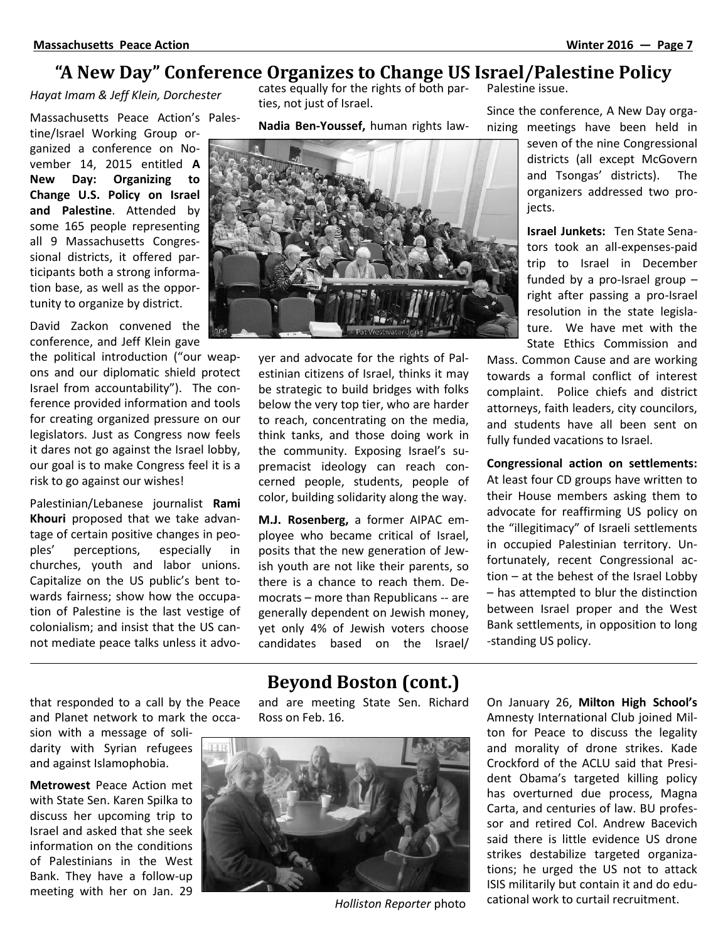### **"A New Day" Conference Organizes to Change US Israel/Palestine Policy**

*Hayat Imam & Jeff Klein, Dorchester*

Massachusetts Peace Action's Palestine/Israel Working Group organized a conference on November 14, 2015 entitled **A New Day: Organizing to Change U.S. Policy on Israel and Palestine**. Attended by some 165 people representing all 9 Massachusetts Congressional districts, it offered participants both a strong information base, as well as the opportunity to organize by district.

David Zackon convened the conference, and Jeff Klein gave

the political introduction ("our weapons and our diplomatic shield protect Israel from accountability"). The conference provided information and tools for creating organized pressure on our legislators. Just as Congress now feels it dares not go against the Israel lobby, our goal is to make Congress feel it is a risk to go against our wishes!

Palestinian/Lebanese journalist **Rami Khouri** proposed that we take advantage of certain positive changes in peoples' perceptions, especially in churches, youth and labor unions. Capitalize on the US public's bent towards fairness; show how the occupation of Palestine is the last vestige of colonialism; and insist that the US cannot mediate peace talks unless it advocates equally for the rights of both parties, not just of Israel.

**Nadia Ben-Youssef,** human rights law-



yer and advocate for the rights of Palestinian citizens of Israel, thinks it may be strategic to build bridges with folks below the very top tier, who are harder to reach, concentrating on the media, think tanks, and those doing work in the community. Exposing Israel's supremacist ideology can reach concerned people, students, people of color, building solidarity along the way.

**M.J. Rosenberg,** a former AIPAC employee who became critical of Israel, posits that the new generation of Jewish youth are not like their parents, so there is a chance to reach them. Democrats – more than Republicans -- are generally dependent on Jewish money, yet only 4% of Jewish voters choose candidates based on the Israel/

Palestine issue.

Since the conference, A New Day organizing meetings have been held in

> seven of the nine Congressional districts (all except McGovern and Tsongas' districts). The organizers addressed two proiects.

> **Israel Junkets:** Ten State Senators took an all-expenses-paid trip to Israel in December funded by a pro-Israel group – right after passing a pro-Israel resolution in the state legislature. We have met with the State Ethics Commission and

Mass. Common Cause and are working towards a formal conflict of interest complaint. Police chiefs and district attorneys, faith leaders, city councilors, and students have all been sent on fully funded vacations to Israel.

**Congressional action on settlements:** At least four CD groups have written to their House members asking them to advocate for reaffirming US policy on the "illegitimacy" of Israeli settlements in occupied Palestinian territory. Unfortunately, recent Congressional action – at the behest of the Israel Lobby – has attempted to blur the distinction between Israel proper and the West Bank settlements, in opposition to long -standing US policy.

that responded to a call by the Peace and Planet network to mark the occa-

sion with a message of solidarity with Syrian refugees and against Islamophobia.

**Metrowest** Peace Action met with State Sen. Karen Spilka to discuss her upcoming trip to Israel and asked that she seek information on the conditions of Palestinians in the West Bank. They have a follow-up meeting with her on Jan. 29

# **Beyond Boston (cont.)**

and are meeting State Sen. Richard Ross on Feb. 16.



*Holliston Reporter* photo

On January 26, **Milton High School's** Amnesty International Club joined Milton for Peace to discuss the legality and morality of drone strikes. Kade Crockford of the ACLU said that President Obama's targeted killing policy has overturned due process, Magna Carta, and centuries of law. BU professor and retired Col. Andrew Bacevich said there is little evidence US drone strikes destabilize targeted organizations; he urged the US not to attack ISIS militarily but contain it and do educational work to curtail recruitment.